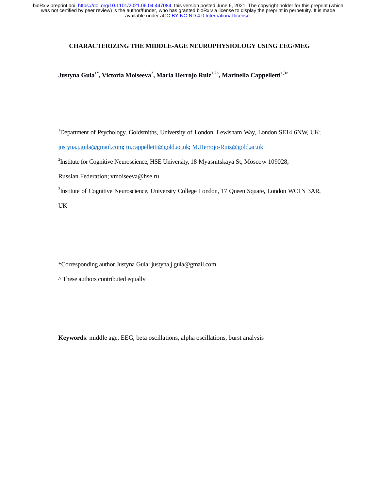# **CHARACTERIZING THE MIDDLE-AGE NEUROPHYSIOLOGY USING EEG/MEG**

 $\bm{\mathrm{Justyna\;Gula}^{1^*}}, \bm{\mathrm{Victoria\;Moiseeva}^2}, \bm{\mathrm{Maria\;Herrojo\;Ruiz}^{1,2^{\lambda}}}, \bm{\mathrm{Marinella\;Cappelletti}^{1,3^{\lambda}}}.$ 

<sup>1</sup>Department of Psychology, Goldsmiths, University of London, Lewisham Way, London SE14 6NW, UK; justyna.j.gula@gmail.com; m.cappelletti@gold.ac.uk; M.Herrojo-Ruiz@gold.ac.uk

<sup>2</sup>Institute for Cognitive Neuroscience, HSE University, 18 Myasnitskaya St, Moscow 109028,

Russian Federation; vmoiseeva@hse.ru

<sup>3</sup>Institute of Cognitive Neuroscience, University College London, 17 Queen Square, London WC1N 3AR,

UK

\*Corresponding author Justyna Gula: justyna.j.gula@gmail.com

^ These authors contributed equally

**Keywords**: middle age, EEG, beta oscillations, alpha oscillations, burst analysis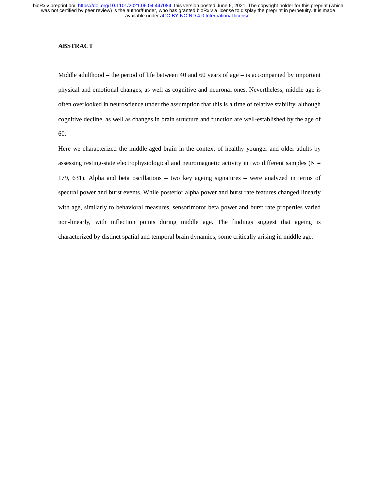# **ABSTRACT**

Middle adulthood – the period of life between 40 and 60 years of age – is accompanied by important physical and emotional changes, as well as cognitive and neuronal ones. Nevertheless, middle age is often overlooked in neuroscience under the assumption that this is a time of relative stability, although cognitive decline, as well as changes in brain structure and function are well-established by the age of 60.

Here we characterized the middle-aged brain in the context of healthy younger and older adults by assessing resting-state electrophysiological and neuromagnetic activity in two different samples ( $N =$ 179, 631). Alpha and beta oscillations – two key ageing signatures – were analyzed in terms of spectral power and burst events. While posterior alpha power and burst rate features changed linearly with age, similarly to behavioral measures, sensorimotor beta power and burst rate properties varied non-linearly, with inflection points during middle age. The findings suggest that ageing is characterized by distinct spatial and temporal brain dynamics, some critically arising in middle age.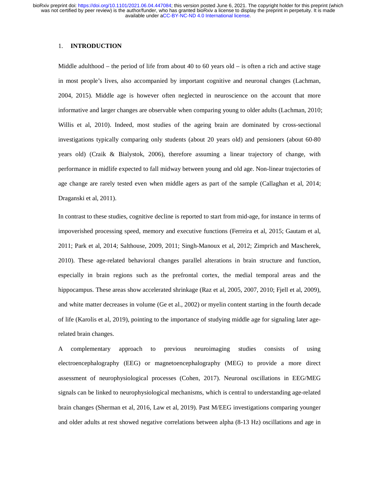# 1. **INTRODUCTION**

Middle adulthood – the period of life from about 40 to 60 years old – is often a rich and active stage in most people's lives, also accompanied by important cognitive and neuronal changes (Lachman, 2004, 2015). Middle age is however often neglected in neuroscience on the account that more informative and larger changes are observable when comparing young to older adults (Lachman, 2010; Willis et al, 2010). Indeed, most studies of the ageing brain are dominated by cross-sectional investigations typically comparing only students (about 20 years old) and pensioners (about 60-80 years old) (Craik & Bialystok, 2006), therefore assuming a linear trajectory of change, with performance in midlife expected to fall midway between young and old age. Non-linear trajectories of age change are rarely tested even when middle agers as part of the sample (Callaghan et al, 2014; Draganski et al, 2011).

In contrast to these studies, cognitive decline is reported to start from mid-age, for instance in terms of impoverished processing speed, memory and executive functions (Ferreira et al, 2015; Gautam et al, 2011; Park et al, 2014; Salthouse, 2009, 2011; Singh-Manoux et al, 2012; Zimprich and Mascherek, 2010). These age-related behavioral changes parallel alterations in brain structure and function, especially in brain regions such as the prefrontal cortex, the medial temporal areas and the hippocampus. These areas show accelerated shrinkage (Raz et al, 2005, 2007, 2010; Fjell et al, 2009), and white matter decreases in volume (Ge et al., 2002) or myelin content starting in the fourth decade of life (Karolis et al, 2019), pointing to the importance of studying middle age for signaling later agerelated brain changes.

A complementary approach to previous neuroimaging studies consists of using electroencephalography (EEG) or magnetoencephalography (MEG) to provide a more direct assessment of neurophysiological processes (Cohen, 2017). Neuronal oscillations in EEG/MEG signals can be linked to neurophysiological mechanisms, which is central to understanding age-related brain changes (Sherman et al, 2016, Law et al, 2019). Past M/EEG investigations comparing younger and older adults at rest showed negative correlations between alpha (8-13 Hz) oscillations and age in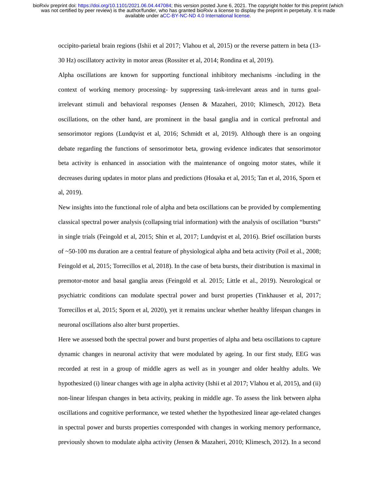occipito-parietal brain regions (Ishii et al 2017; Vlahou et al, 2015) or the reverse pattern in beta (13-

30 Hz) oscillatory activity in motor areas (Rossiter et al, 2014; Rondina et al, 2019).

Alpha oscillations are known for supporting functional inhibitory mechanisms -including in the context of working memory processing- by suppressing task-irrelevant areas and in turns goalirrelevant stimuli and behavioral responses (Jensen & Mazaheri, 2010; Klimesch, 2012). Beta oscillations, on the other hand, are prominent in the basal ganglia and in cortical prefrontal and sensorimotor regions (Lundqvist et al, 2016; Schmidt et al, 2019). Although there is an ongoing debate regarding the functions of sensorimotor beta, growing evidence indicates that sensorimotor beta activity is enhanced in association with the maintenance of ongoing motor states, while it decreases during updates in motor plans and predictions (Hosaka et al, 2015; Tan et al, 2016, Sporn et al, 2019).

New insights into the functional role of alpha and beta oscillations can be provided by complementing classical spectral power analysis (collapsing trial information) with the analysis of oscillation "bursts" in single trials (Feingold et al, 2015; Shin et al, 2017; Lundqvist et al, 2016). Brief oscillation bursts of ~50-100 ms duration are a central feature of physiological alpha and beta activity (Poil et al., 2008; Feingold et al, 2015; Torrecillos et al, 2018). In the case of beta bursts, their distribution is maximal in premotor-motor and basal ganglia areas (Feingold et al. 2015; Little et al., 2019). Neurological or psychiatric conditions can modulate spectral power and burst properties (Tinkhauser et al, 2017; Torrecillos et al, 2015; Sporn et al, 2020), yet it remains unclear whether healthy lifespan changes in neuronal oscillations also alter burst properties.

Here we assessed both the spectral power and burst properties of alpha and beta oscillations to capture dynamic changes in neuronal activity that were modulated by ageing. In our first study, EEG was recorded at rest in a group of middle agers as well as in younger and older healthy adults. We hypothesized (i) linear changes with age in alpha activity (Ishii et al 2017; Vlahou et al, 2015), and (ii) non-linear lifespan changes in beta activity, peaking in middle age. To assess the link between alpha oscillations and cognitive performance, we tested whether the hypothesized linear age-related changes in spectral power and bursts properties corresponded with changes in working memory performance, previously shown to modulate alpha activity (Jensen & Mazaheri, 2010; Klimesch, 2012). In a second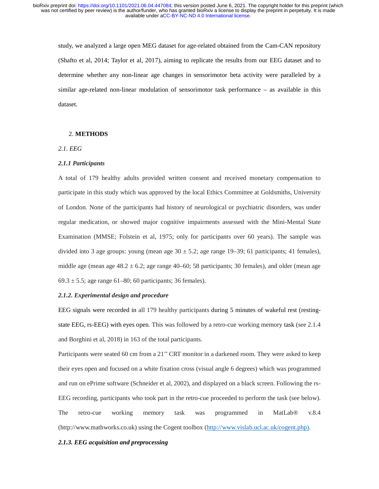study, we analyzed a large open MEG dataset for age-related obtained from the Cam-CAN repository (Shafto et al, 2014; Taylor et al, 2017), aiming to replicate the results from our EEG dataset and to determine whether any non-linear age changes in sensorimotor beta activity were paralleled by a similar age-related non-linear modulation of sensorimotor task performance – as available in this dataset.

# 2. **METHODS**

## *2.1. EEG*

#### *2.1.1 Participants*

A total of 179 healthy adults provided written consent and received monetary compensation to participate in this study which was approved by the local Ethics Committee at Goldsmiths, University of London. None of the participants had history of neurological or psychiatric disorders, was under regular medication, or showed major cognitive impairments assessed with the Mini-Mental State Examination (MMSE; Folstein et al, 1975; only for participants over 60 years). The sample was divided into 3 age groups: young (mean age  $30 \pm 5.2$ ; age range 19–39; 61 participants; 41 females), middle age (mean age  $48.2 \pm 6.2$ ; age range  $40-60$ ; 58 participants; 30 females), and older (mean age  $69.3 \pm 5.5$ ; age range  $61-80$ ; 60 participants; 36 females).

## *2.1.2. Experimental design and procedure*

EEG signals were recorded in all 179 healthy participants during 5 minutes of wakeful rest (restingstate EEG, rs-EEG) with eyes open. This was followed by a retro-cue working memory task (see 2.1.4 and Borghini et al, 2018) in 163 of the total participants.

Participants were seated 60 cm from a 21" CRT monitor in a darkened room. They were asked to keep their eyes open and focused on a white fixation cross (visual angle 6 degrees) which was programmed and run on ePrime software (Schneider et al, 2002), and displayed on a black screen. Following the rs-EEG recording, participants who took part in the retro-cue proceeded to perform the task (see below). The retro-cue working memory task was programmed in MatLab® v.8.4 (http://www.mathworks.co.uk) using the Cogent toolbox (http://www.vislab.ucl.ac.uk/cogent.php).

## *2.1.3. EEG acquisition and preprocessing*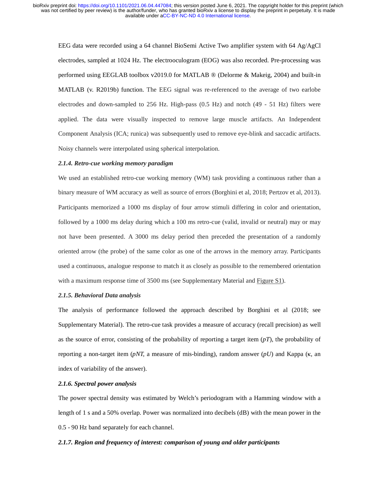EEG data were recorded using a 64 channel BioSemi Active Two amplifier system with 64 Ag/AgCl electrodes, sampled at 1024 Hz. The electrooculogram (EOG) was also recorded. Pre-processing was performed using EEGLAB toolbox v2019.0 for MATLAB ® (Delorme & Makeig, 2004) and built-in MATLAB (v. R2019b) function. The EEG signal was re-referenced to the average of two earlobe electrodes and down-sampled to 256 Hz. High-pass (0.5 Hz) and notch (49 - 51 Hz) filters were applied. The data were visually inspected to remove large muscle artifacts. An Independent Component Analysis (ICA; runica) was subsequently used to remove eye-blink and saccadic artifacts. Noisy channels were interpolated using spherical interpolation.

### *2.1.4. Retro-cue working memory paradigm*

We used an established retro-cue working memory (WM) task providing a continuous rather than a binary measure of WM accuracy as well as source of errors (Borghini et al, 2018; Pertzov et al, 2013). Participants memorized a 1000 ms display of four arrow stimuli differing in color and orientation, followed by a 1000 ms delay during which a 100 ms retro-cue (valid, invalid or neutral) may or may not have been presented. A 3000 ms delay period then preceded the presentation of a randomly oriented arrow (the probe) of the same color as one of the arrows in the memory array. Participants used a continuous, analogue response to match it as closely as possible to the remembered orientation with a maximum response time of 3500 ms (see Supplementary Material and Figure S1).

## *2.1.5. Behavioral Data analysis*

The analysis of performance followed the approach described by Borghini et al (2018; see Supplementary Material). The retro-cue task provides a measure of accuracy (recall precision) as well as the source of error, consisting of the probability of reporting a target item (*pT*), the probability of reporting a non-target item (*pNT,* a measure of mis-binding), random answer (*pU*) and Kappa (κ, an index of variability of the answer).

# *2.1.6. Spectral power analysis*

The power spectral density was estimated by Welch's periodogram with a Hamming window with a length of 1 s and a 50% overlap. Power was normalized into decibels (dB) with the mean power in the 0.5 - 90 Hz band separately for each channel.

## *2.1.7. Region and frequency of interest: comparison of young and older participants*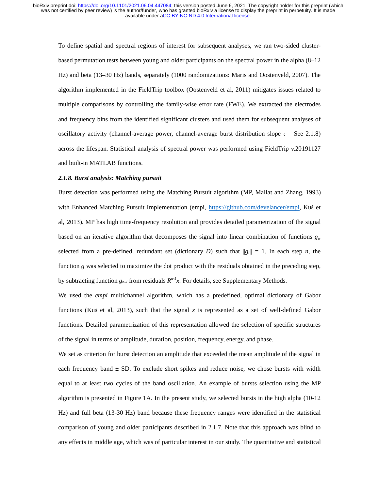To define spatial and spectral regions of interest for subsequent analyses, we ran two-sided clusterbased permutation tests between young and older participants on the spectral power in the alpha (8–12 Hz) and beta (13–30 Hz) bands, separately (1000 randomizations: Maris and Oostenveld, 2007). The algorithm implemented in the FieldTrip toolbox (Oostenveld et al, 2011) mitigates issues related to multiple comparisons by controlling the family-wise error rate (FWE). We extracted the electrodes and frequency bins from the identified significant clusters and used them for subsequent analyses of oscillatory activity (channel-average power, channel-average burst distribution slope  $\tau$  – See 2.1.8) across the lifespan. Statistical analysis of spectral power was performed using FieldTrip v.20191127 and built-in MATLAB functions.

### *2.1.8. Burst analysis: Matching pursuit*

Burst detection was performed using the Matching Pursuit algorithm (MP, Mallat and Zhang, 1993) with Enhanced Matching Pursuit Implementation (empi, https://github.com/develancer/empi, Kuś et al, 2013). MP has high time-frequency resolution and provides detailed parametrization of the signal based on an iterative algorithm that decomposes the signal into linear combination of functions *g*i, selected from a pre-defined, redundant set (dictionary *D*) such that  $||g_i|| = 1$ . In each step *n*, the function *g* was selected to maximize the dot product with the residuals obtained in the preceding step, by subtracting function  $g_{n-l}$  from residuals  $R^{n-l}x$ . For details, see Supplementary Methods.

We used the *empi* multichannel algorithm, which has a predefined, optimal dictionary of Gabor functions (Kuś et al, 2013), such that the signal *x* is represented as a set of well-defined Gabor functions. Detailed parametrization of this representation allowed the selection of specific structures of the signal in terms of amplitude, duration, position, frequency, energy, and phase.

We set as criterion for burst detection an amplitude that exceeded the mean amplitude of the signal in each frequency band  $\pm$  SD. To exclude short spikes and reduce noise, we chose bursts with width equal to at least two cycles of the band oscillation. An example of bursts selection using the MP algorithm is presented in Figure 1A. In the present study, we selected bursts in the high alpha (10-12 Hz) and full beta (13-30 Hz) band because these frequency ranges were identified in the statistical comparison of young and older participants described in 2.1.7. Note that this approach was blind to any effects in middle age, which was of particular interest in our study. The quantitative and statistical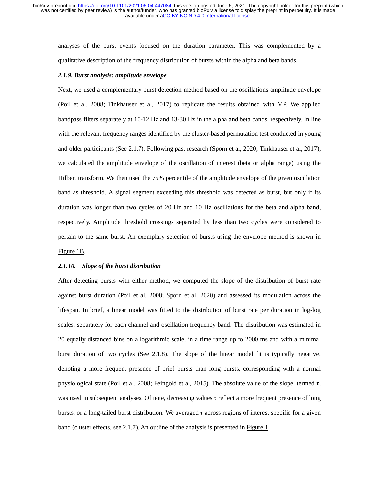analyses of the burst events focused on the duration parameter. This was complemented by a qualitative description of the frequency distribution of bursts within the alpha and beta bands.

#### *2.1.9. Burst analysis: amplitude envelope*

Next, we used a complementary burst detection method based on the oscillations amplitude envelope (Poil et al, 2008; Tinkhauser et al, 2017) to replicate the results obtained with MP. We applied bandpass filters separately at 10-12 Hz and 13-30 Hz in the alpha and beta bands, respectively, in line with the relevant frequency ranges identified by the cluster-based permutation test conducted in young and older participants (See 2.1.7). Following past research (Sporn et al, 2020; Tinkhauser et al, 2017), we calculated the amplitude envelope of the oscillation of interest (beta or alpha range) using the Hilbert transform. We then used the 75% percentile of the amplitude envelope of the given oscillation band as threshold. A signal segment exceeding this threshold was detected as burst, but only if its duration was longer than two cycles of 20 Hz and 10 Hz oscillations for the beta and alpha band, respectively. Amplitude threshold crossings separated by less than two cycles were considered to pertain to the same burst. An exemplary selection of bursts using the envelope method is shown in Figure 1B.

#### *2.1.10. Slope of the burst distribution*

After detecting bursts with either method, we computed the slope of the distribution of burst rate against burst duration (Poil et al, 2008; Sporn et al, 2020) and assessed its modulation across the lifespan. In brief, a linear model was fitted to the distribution of burst rate per duration in log-log scales, separately for each channel and oscillation frequency band. The distribution was estimated in 20 equally distanced bins on a logarithmic scale, in a time range up to 2000 ms and with a minimal burst duration of two cycles (See 2.1.8). The slope of the linear model fit is typically negative, denoting a more frequent presence of brief bursts than long bursts, corresponding with a normal physiological state (Poil et al, 2008; Feingold et al, 2015). The absolute value of the slope, termed τ, was used in subsequent analyses. Of note, decreasing values τ reflect a more frequent presence of long bursts, or a long-tailed burst distribution. We averaged τ across regions of interest specific for a given band (cluster effects, see 2.1.7). An outline of the analysis is presented in Figure 1.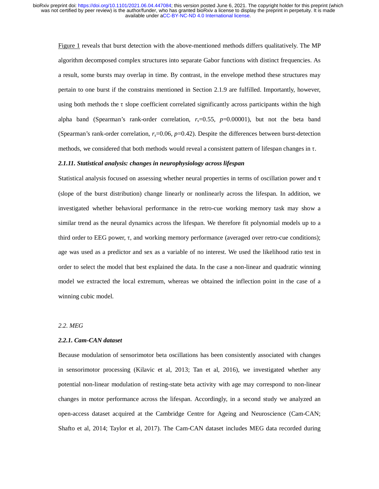Figure 1 reveals that burst detection with the above-mentioned methods differs qualitatively. The MP algorithm decomposed complex structures into separate Gabor functions with distinct frequencies. As a result, some bursts may overlap in time. By contrast, in the envelope method these structures may pertain to one burst if the constrains mentioned in Section 2.1.9 are fulfilled. Importantly, however, using both methods the τ slope coefficient correlated significantly across participants within the high alpha band (Spearman's rank-order correlation,  $r_s$ =0.55,  $p$ =0.00001), but not the beta band (Spearman's rank-order correlation,  $r_s$ =0.06,  $p$ =0.42). Despite the differences between burst-detection methods, we considered that both methods would reveal a consistent pattern of lifespan changes in τ.

### *2.1.11. Statistical analysis: changes in neurophysiology across lifespan*

Statistical analysis focused on assessing whether neural properties in terms of oscillation power and <sup>τ</sup> (slope of the burst distribution) change linearly or nonlinearly across the lifespan. In addition, we investigated whether behavioral performance in the retro-cue working memory task may show a similar trend as the neural dynamics across the lifespan. We therefore fit polynomial models up to a third order to EEG power, τ, and working memory performance (averaged over retro-cue conditions); age was used as a predictor and sex as a variable of no interest. We used the likelihood ratio test in order to select the model that best explained the data. In the case a non-linear and quadratic winning model we extracted the local extremum, whereas we obtained the inflection point in the case of a winning cubic model.

## *2.2. MEG*

### *2.2.1. Cam-CAN dataset*

Because modulation of sensorimotor beta oscillations has been consistently associated with changes in sensorimotor processing (Kilavic et al, 2013; Tan et al, 2016), we investigated whether any potential non-linear modulation of resting-state beta activity with age may correspond to non-linear changes in motor performance across the lifespan. Accordingly, in a second study we analyzed an open-access dataset acquired at the Cambridge Centre for Ageing and Neuroscience (Cam-CAN; Shafto et al, 2014; Taylor et al, 2017). The Cam-CAN dataset includes MEG data recorded during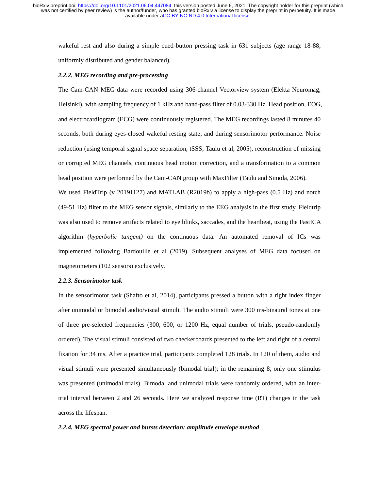wakeful rest and also during a simple cued-button pressing task in 631 subjects (age range 18-88, uniformly distributed and gender balanced).

### *2.2.2. MEG recording and pre-processing*

The Cam-CAN MEG data were recorded using 306-channel Vectorview system (Elekta Neuromag, Helsinki), with sampling frequency of 1 kHz and band-pass filter of 0.03-330 Hz. Head position, EOG, and electrocardiogram (ECG) were continuously registered. The MEG recordings lasted 8 minutes 40 seconds, both during eyes-closed wakeful resting state, and during sensorimotor performance. Noise reduction (using temporal signal space separation, tSSS, Taulu et al, 2005), reconstruction of missing or corrupted MEG channels, continuous head motion correction, and a transformation to a common head position were performed by the Cam-CAN group with MaxFilter (Taulu and Simola, 2006). We used FieldTrip (v 20191127) and MATLAB (R2019b) to apply a high-pass (0.5 Hz) and notch (49-51 Hz) filter to the MEG sensor signals, similarly to the EEG analysis in the first study. Fieldtrip was also used to remove artifacts related to eye blinks, saccades, and the heartbeat, using the FastICA

algorithm (*hyperbolic tangent)* on the continuous data. An automated removal of ICs was implemented following Bardouille et al (2019). Subsequent analyses of MEG data focused on magnetometers (102 sensors) exclusively.

### *2.2.3. Sensorimotor task*

In the sensorimotor task (Shafto et al, 2014), participants pressed a button with a right index finger after unimodal or bimodal audio/visual stimuli. The audio stimuli were 300 ms-binaural tones at one of three pre-selected frequencies (300, 600, or 1200 Hz, equal number of trials, pseudo-randomly ordered). The visual stimuli consisted of two checkerboards presented to the left and right of a central fixation for 34 ms. After a practice trial, participants completed 128 trials. In 120 of them, audio and visual stimuli were presented simultaneously (bimodal trial); in the remaining 8, only one stimulus was presented (unimodal trials). Bimodal and unimodal trials were randomly ordered, with an intertrial interval between 2 and 26 seconds. Here we analyzed response time (RT) changes in the task across the lifespan.

### *2.2.4. MEG spectral power and bursts detection: amplitude envelope method*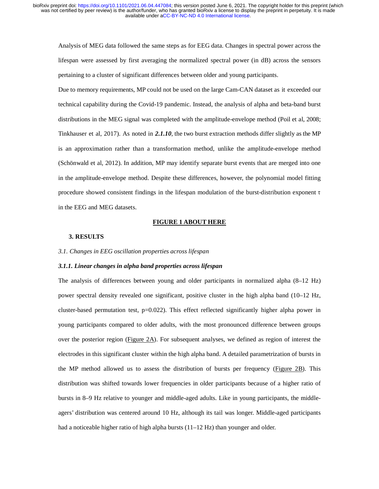Analysis of MEG data followed the same steps as for EEG data. Changes in spectral power across the lifespan were assessed by first averaging the normalized spectral power (in dB) across the sensors pertaining to a cluster of significant differences between older and young participants.

Due to memory requirements, MP could not be used on the large Cam-CAN dataset as it exceeded our technical capability during the Covid-19 pandemic. Instead, the analysis of alpha and beta-band burst distributions in the MEG signal was completed with the amplitude-envelope method (Poil et al, 2008; Tinkhauser et al, 2017). As noted in *2.1.10*, the two burst extraction methods differ slightly as the MP is an approximation rather than a transformation method, unlike the amplitude-envelope method (Schönwald et al, 2012). In addition, MP may identify separate burst events that are merged into one in the amplitude-envelope method. Despite these differences, however, the polynomial model fitting procedure showed consistent findings in the lifespan modulation of the burst-distribution exponent <sup>τ</sup> in the EEG and MEG datasets.

#### **FIGURE 1 ABOUT HERE**

## **3. RESULTS**

### *3.1. Changes in EEG oscillation properties across lifespan*

#### *3.1.1. Linear changes in alpha band properties across lifespan*

The analysis of differences between young and older participants in normalized alpha (8–12 Hz) power spectral density revealed one significant, positive cluster in the high alpha band (10–12 Hz, cluster-based permutation test,  $p=0.022$ ). This effect reflected significantly higher alpha power in young participants compared to older adults, with the most pronounced difference between groups over the posterior region (Figure  $2A$ ). For subsequent analyses, we defined as region of interest the electrodes in this significant cluster within the high alpha band. A detailed parametrization of bursts in the MP method allowed us to assess the distribution of bursts per frequency (Figure 2B). This distribution was shifted towards lower frequencies in older participants because of a higher ratio of bursts in 8–9 Hz relative to younger and middle-aged adults. Like in young participants, the middleagers' distribution was centered around 10 Hz, although its tail was longer. Middle-aged participants had a noticeable higher ratio of high alpha bursts  $(11-12 \text{ Hz})$  than younger and older.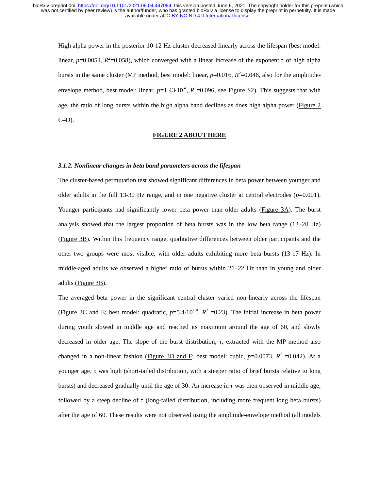High alpha power in the posterior 10-12 Hz cluster decreased linearly across the lifespan (best model: linear,  $p=0.0054$ ,  $R^2=0.058$ ), which converged with a linear increase of the exponent  $\tau$  of high alpha bursts in the same cluster (MP method, best model: linear,  $p=0.016$ ,  $R^2=0.046$ , also for the amplitudeenvelope method, best model: linear,  $p=1.43 \cdot 10^{-4}$ ,  $R^2=0.096$ , see Figure S2). This suggests that with age, the ratio of long bursts within the high alpha band declines as does high alpha power (Figure 2  $C-D$ ).

## **FIGURE 2 ABOUT HERE**

### *3.1.2. Nonlinear changes in beta band parameters across the lifespan*

The cluster-based permutation test showed significant differences in beta power between younger and older adults in the full 13-30 Hz range, and in one negative cluster at central electrodes  $(p=0.001)$ . Younger participants had significantly lower beta power than older adults (Figure 3A). The burst analysis showed that the largest proportion of beta bursts was in the low beta range (13–20 Hz) (Figure 3B). Within this frequency range, qualitative differences between older participants and the other two groups were most visible, with older adults exhibiting more beta bursts (13-17 Hz). In middle-aged adults we observed a higher ratio of bursts within 21–22 Hz than in young and older adults (Figure 3B).

The averaged beta power in the significant central cluster varied non-linearly across the lifespan (Figure 3C and E; best model: quadratic,  $p=5.4 \cdot 10^{-10}$ ,  $R^2 = 0.23$ ). The initial increase in beta power during youth slowed in middle age and reached its maximum around the age of 60, and slowly decreased in older age. The slope of the burst distribution, τ, extracted with the MP method also changed in a non-linear fashion (Figure 3D and F; best model: cubic,  $p=0.0073$ ,  $R^2 = 0.042$ ). At a younger age, τ was high (short-tailed distribution, with a steeper ratio of brief bursts relative to long bursts) and decreased gradually until the age of 30. An increase in  $\tau$  was then observed in middle age, followed by a steep decline of τ (long-tailed distribution, including more frequent long beta bursts) after the age of 60. These results were not observed using the amplitude-envelope method (all models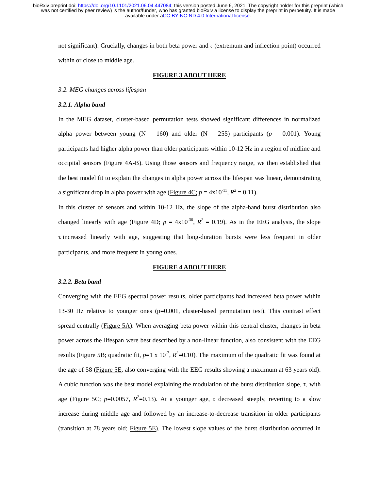not significant). Crucially, changes in both beta power and τ (extremum and inflection point) occurred within or close to middle age.

### **FIGURE 3 ABOUT HERE**

### *3.2. MEG changes across lifespan*

## *3.2.1. Alpha band*

In the MEG dataset, cluster-based permutation tests showed significant differences in normalized alpha power between young ( $N = 160$ ) and older ( $N = 255$ ) participants ( $p = 0.001$ ). Young participants had higher alpha power than older participants within 10-12 Hz in a region of midline and occipital sensors (Figure 4A-B). Using those sensors and frequency range, we then established that the best model fit to explain the changes in alpha power across the lifespan was linear, demonstrating a significant drop in alpha power with age (Figure  $4C$ ;  $p = 4 \times 10^{-11}$ ,  $R^2 = 0.11$ ).

In this cluster of sensors and within 10-12 Hz, the slope of the alpha-band burst distribution also changed linearly with age (Figure 4D;  $p = 4 \times 10^{-30}$ ,  $R^2 = 0.19$ ). As in the EEG analysis, the slope τ increased linearly with age, suggesting that long-duration bursts were less frequent in older participants, and more frequent in young ones.

#### **FIGURE 4 ABOUT HERE**

#### *3.2.2. Beta band*

Converging with the EEG spectral power results, older participants had increased beta power within 13-30 Hz relative to younger ones (p=0.001, cluster-based permutation test). This contrast effect spread centrally (Figure 5A). When averaging beta power within this central cluster, changes in beta power across the lifespan were best described by a non-linear function, also consistent with the EEG results (*Figure 5B*; quadratic fit,  $p=1 \times 10^{-7}$ ,  $R^2=0.10$ ). The maximum of the quadratic fit was found at the age of 58 (Figure 5E, also converging with the EEG results showing a maximum at 63 years old). A cubic function was the best model explaining the modulation of the burst distribution slope, τ, with age (Figure 5C;  $p=0.0057$ ,  $R^2=0.13$ ). At a younger age,  $\tau$  decreased steeply, reverting to a slow increase during middle age and followed by an increase-to-decrease transition in older participants (transition at 78 years old; Figure 5E). The lowest slope values of the burst distribution occurred in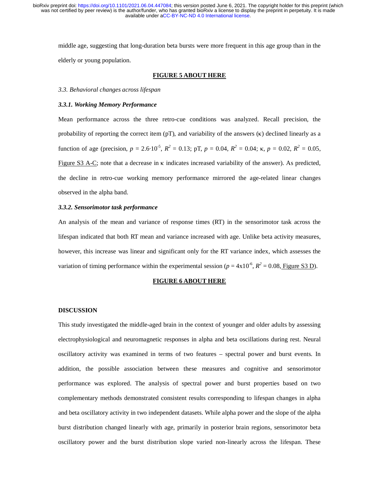middle age, suggesting that long-duration beta bursts were more frequent in this age group than in the elderly or young population.

### **FIGURE 5 ABOUT HERE**

*3.3. Behavioral changes across lifespan*

## *3.3.1. Working Memory Performance*

Mean performance across the three retro-cue conditions was analyzed. Recall precision, the probability of reporting the correct item  $(pT)$ , and variability of the answers  $(\kappa)$  declined linearly as a function of age (precision,  $p = 2.6 \cdot 10^{-5}$ ,  $R^2 = 0.13$ ;  $pT$ ,  $p = 0.04$ ,  $R^2 = 0.04$ ;  $\kappa$ ,  $p = 0.02$ ,  $R^2 = 0.05$ , Figure S3 A-C; note that a decrease in κ indicates increased variability of the answer). As predicted, the decline in retro-cue working memory performance mirrored the age-related linear changes observed in the alpha band.

## *3.3.2. Sensorimotor task performance*

An analysis of the mean and variance of response times (RT) in the sensorimotor task across the lifespan indicated that both RT mean and variance increased with age. Unlike beta activity measures, however, this increase was linear and significant only for the RT variance index, which assesses the variation of timing performance within the experimental session ( $p = 4 \times 10^{-6}$ ,  $R^2 = 0.08$ , Figure S3 D).

#### **FIGURE 6 ABOUT HERE**

### **DISCUSSION**

This study investigated the middle-aged brain in the context of younger and older adults by assessing electrophysiological and neuromagnetic responses in alpha and beta oscillations during rest. Neural oscillatory activity was examined in terms of two features – spectral power and burst events. In addition, the possible association between these measures and cognitive and sensorimotor performance was explored. The analysis of spectral power and burst properties based on two complementary methods demonstrated consistent results corresponding to lifespan changes in alpha and beta oscillatory activity in two independent datasets. While alpha power and the slope of the alpha burst distribution changed linearly with age, primarily in posterior brain regions, sensorimotor beta oscillatory power and the burst distribution slope varied non-linearly across the lifespan. These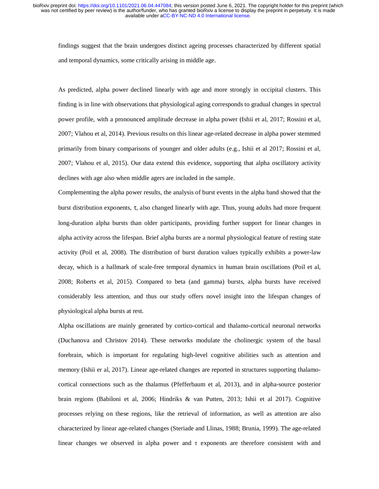findings suggest that the brain undergoes distinct ageing processes characterized by different spatial and temporal dynamics, some critically arising in middle age.

As predicted, alpha power declined linearly with age and more strongly in occipital clusters. This finding is in line with observations that physiological aging corresponds to gradual changes in spectral power profile, with a pronounced amplitude decrease in alpha power (Ishii et al, 2017; Rossini et al, 2007; Vlahou et al, 2014). Previous results on this linear age-related decrease in alpha power stemmed primarily from binary comparisons of younger and older adults (e.g., Ishii et al 2017; Rossini et al, 2007; Vlahou et al, 2015). Our data extend this evidence, supporting that alpha oscillatory activity declines with age also when middle agers are included in the sample.

Complementing the alpha power results, the analysis of burst events in the alpha band showed that the burst distribution exponents, τ, also changed linearly with age. Thus, young adults had more frequent long-duration alpha bursts than older participants, providing further support for linear changes in alpha activity across the lifespan. Brief alpha bursts are a normal physiological feature of resting state activity (Poil et al, 2008). The distribution of burst duration values typically exhibits a power-law decay, which is a hallmark of scale-free temporal dynamics in human brain oscillations (Poil et al, 2008; Roberts et al, 2015). Compared to beta (and gamma) bursts, alpha bursts have received considerably less attention, and thus our study offers novel insight into the lifespan changes of physiological alpha bursts at rest.

Alpha oscillations are mainly generated by cortico-cortical and thalamo-cortical neuronal networks (Duchanova and Christov 2014). These networks modulate the cholinergic system of the basal forebrain, which is important for regulating high-level cognitive abilities such as attention and memory (Ishii er al, 2017). Linear age-related changes are reported in structures supporting thalamocortical connections such as the thalamus (Pfefferbaum et al, 2013), and in alpha-source posterior brain regions (Babiloni et al, 2006; Hindriks & van Putten, 2013; Ishii et al 2017). Cognitive processes relying on these regions, like the retrieval of information, as well as attention are also characterized by linear age-related changes (Steriade and Llinas, 1988; Brunia, 1999). The age-related linear changes we observed in alpha power and  $\tau$  exponents are therefore consistent with and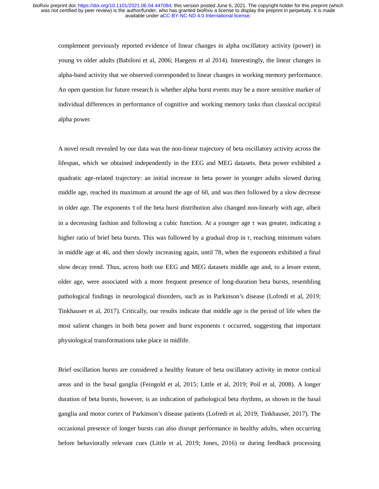complement previously reported evidence of linear changes in alpha oscillatory activity (power) in young vs older adults (Babiloni et al, 2006; Haegens et al 2014). Interestingly, the linear changes in alpha-band activity that we observed corresponded to linear changes in working memory performance. An open question for future research is whether alpha burst events may be a more sensitive marker of individual differences in performance of cognitive and working memory tasks than classical occipital alpha power.

A novel result revealed by our data was the non-linear trajectory of beta oscillatory activity across the lifespan, which we obtained independently in the EEG and MEG datasets. Beta power exhibited a quadratic age-related trajectory: an initial increase in beta power in younger adults slowed during middle age, reached its maximum at around the age of 60, and was then followed by a slow decrease in older age. The exponents  $\tau$  of the beta burst distribution also changed non-linearly with age, albeit in a decreasing fashion and following a cubic function. At a younger age  $\tau$  was greater, indicating a higher ratio of brief beta bursts. This was followed by a gradual drop in τ, reaching minimum values in middle age at 46, and then slowly increasing again, until 78, when the exponents exhibited a final slow decay trend. Thus, across both our EEG and MEG datasets middle age and, to a lesser extent, older age, were associated with a more frequent presence of long-duration beta bursts, resembling pathological findings in neurological disorders, such as in Parkinson's disease (Lofredi et al, 2019; Tinkhauser et al, 2017). Critically, our results indicate that middle age is the period of life when the most salient changes in both beta power and burst exponents τ occurred, suggesting that important physiological transformations take place in midlife.

Brief oscillation bursts are considered a healthy feature of beta oscillatory activity in motor cortical areas and in the basal ganglia (Feingold et al, 2015; Little et al, 2019; Poil et al, 2008). A longer duration of beta bursts, however, is an indication of pathological beta rhythms, as shown in the basal ganglia and motor cortex of Parkinson's disease patients (Lofredi et al, 2019; Tinkhauser, 2017). The occasional presence of longer bursts can also disrupt performance in healthy adults, when occurring before behaviorally relevant cues (Little et al, 2019; Jones, 2016) or during feedback processing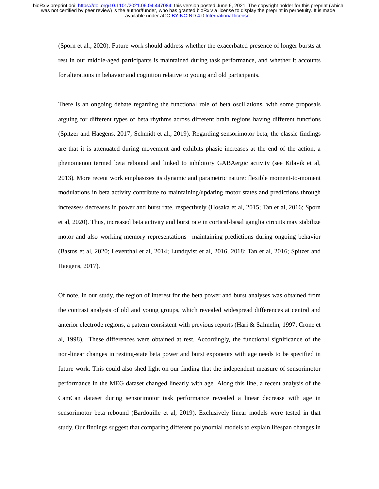(Sporn et al., 2020). Future work should address whether the exacerbated presence of longer bursts at rest in our middle-aged participants is maintained during task performance, and whether it accounts for alterations in behavior and cognition relative to young and old participants.

There is an ongoing debate regarding the functional role of beta oscillations, with some proposals arguing for different types of beta rhythms across different brain regions having different functions (Spitzer and Haegens, 2017; Schmidt et al., 2019). Regarding sensorimotor beta, the classic findings are that it is attenuated during movement and exhibits phasic increases at the end of the action, a phenomenon termed beta rebound and linked to inhibitory GABAergic activity (see Kilavik et al, 2013). More recent work emphasizes its dynamic and parametric nature: flexible moment-to-moment modulations in beta activity contribute to maintaining/updating motor states and predictions through increases/ decreases in power and burst rate, respectively (Hosaka et al, 2015; Tan et al, 2016; Sporn et al, 2020). Thus, increased beta activity and burst rate in cortical-basal ganglia circuits may stabilize motor and also working memory representations –maintaining predictions during ongoing behavior (Bastos et al, 2020; Leventhal et al, 2014; Lundqvist et al, 2016, 2018; Tan et al, 2016; Spitzer and Haegens, 2017).

Of note, in our study, the region of interest for the beta power and burst analyses was obtained from the contrast analysis of old and young groups, which revealed widespread differences at central and anterior electrode regions, a pattern consistent with previous reports (Hari & Salmelin, 1997; Crone et al, 1998). These differences were obtained at rest. Accordingly, the functional significance of the non-linear changes in resting-state beta power and burst exponents with age needs to be specified in future work. This could also shed light on our finding that the independent measure of sensorimotor performance in the MEG dataset changed linearly with age. Along this line, a recent analysis of the CamCan dataset during sensorimotor task performance revealed a linear decrease with age in sensorimotor beta rebound (Bardouille et al, 2019). Exclusively linear models were tested in that study. Our findings suggest that comparing different polynomial models to explain lifespan changes in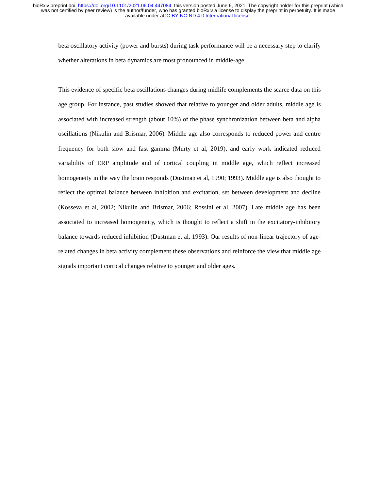beta oscillatory activity (power and bursts) during task performance will be a necessary step to clarify whether alterations in beta dynamics are most pronounced in middle-age.

This evidence of specific beta oscillations changes during midlife complements the scarce data on this age group. For instance, past studies showed that relative to younger and older adults, middle age is associated with increased strength (about 10%) of the phase synchronization between beta and alpha oscillations (Nikulin and Brismar, 2006). Middle age also corresponds to reduced power and centre frequency for both slow and fast gamma (Murty et al, 2019), and early work indicated reduced variability of ERP amplitude and of cortical coupling in middle age, which reflect increased homogeneity in the way the brain responds (Dustman et al, 1990; 1993). Middle age is also thought to reflect the optimal balance between inhibition and excitation, set between development and decline (Kosseva et al, 2002; Nikulin and Brismar, 2006; Rossini et al, 2007). Late middle age has been associated to increased homogeneity, which is thought to reflect a shift in the excitatory-inhibitory balance towards reduced inhibition (Dustman et al, 1993). Our results of non-linear trajectory of agerelated changes in beta activity complement these observations and reinforce the view that middle age signals important cortical changes relative to younger and older ages.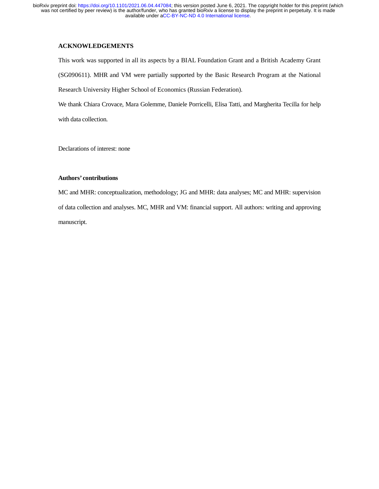# **ACKNOWLEDGEMENTS**

This work was supported in all its aspects by a BIAL Foundation Grant and a British Academy Grant (SG090611). MHR and VM were partially supported by the Basic Research Program at the National Research University Higher School of Economics (Russian Federation).

We thank Chiara Crovace, Mara Golemme, Daniele Porricelli, Elisa Tatti, and Margherita Tecilla for help with data collection.

Declarations of interest: none

# **Authors' contributions**

MC and MHR: conceptualization, methodology; JG and MHR: data analyses; MC and MHR: supervision of data collection and analyses. MC, MHR and VM: financial support. All authors: writing and approving manuscript.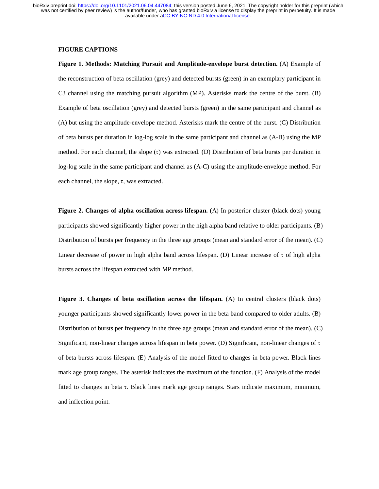# **FIGURE CAPTIONS**

**Figure 1. Methods: Matching Pursuit and Amplitude-envelope burst detection.** (A) Example of the reconstruction of beta oscillation (grey) and detected bursts (green) in an exemplary participant in C3 channel using the matching pursuit algorithm (MP). Asterisks mark the centre of the burst. (B) Example of beta oscillation (grey) and detected bursts (green) in the same participant and channel as (A) but using the amplitude-envelope method. Asterisks mark the centre of the burst. (C) Distribution of beta bursts per duration in log-log scale in the same participant and channel as (A-B) using the MP method. For each channel, the slope (τ) was extracted. (D) Distribution of beta bursts per duration in log-log scale in the same participant and channel as (A-C) using the amplitude-envelope method. For each channel, the slope, τ, was extracted.

**Figure 2. Changes of alpha oscillation across lifespan.** (A) In posterior cluster (black dots) young participants showed significantly higher power in the high alpha band relative to older participants. (B) Distribution of bursts per frequency in the three age groups (mean and standard error of the mean). (C) Linear decrease of power in high alpha band across lifespan. (D) Linear increase of τ of high alpha bursts across the lifespan extracted with MP method.

**Figure 3. Changes of beta oscillation across the lifespan.** (A) In central clusters (black dots) younger participants showed significantly lower power in the beta band compared to older adults. (B) Distribution of bursts per frequency in the three age groups (mean and standard error of the mean). (C) Significant, non-linear changes across lifespan in beta power. (D) Significant, non-linear changes of <sup>τ</sup> of beta bursts across lifespan. (E) Analysis of the model fitted to changes in beta power. Black lines mark age group ranges. The asterisk indicates the maximum of the function. (F) Analysis of the model fitted to changes in beta τ. Black lines mark age group ranges. Stars indicate maximum, minimum, and inflection point.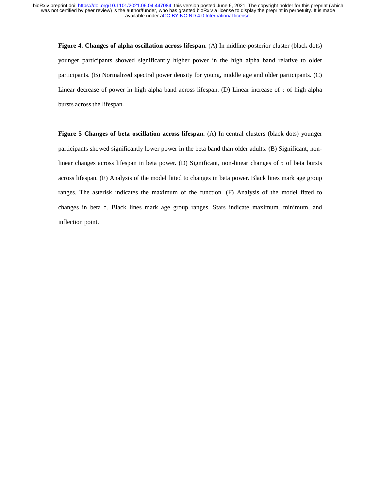**Figure 4. Changes of alpha oscillation across lifespan.** (A) In midline-posterior cluster (black dots) younger participants showed significantly higher power in the high alpha band relative to older participants. (B) Normalized spectral power density for young, middle age and older participants. (C) Linear decrease of power in high alpha band across lifespan. (D) Linear increase of τ of high alpha bursts across the lifespan.

Figure 5 Changes of beta oscillation across lifespan. (A) In central clusters (black dots) younger participants showed significantly lower power in the beta band than older adults. (B) Significant, nonlinear changes across lifespan in beta power. (D) Significant, non-linear changes of τ of beta bursts across lifespan. (E) Analysis of the model fitted to changes in beta power. Black lines mark age group ranges. The asterisk indicates the maximum of the function. (F) Analysis of the model fitted to changes in beta τ. Black lines mark age group ranges. Stars indicate maximum, minimum, and inflection point.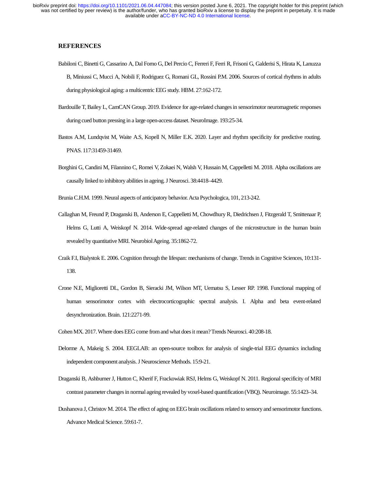## **REFERENCES**

- Babiloni C, Binetti G, Cassarino A, Dal Forno G, Del Percio C, Ferreri F, Ferri R, Frisoni G, Galderisi S, Hirata K, Lanuzza B, Miniussi C, Mucci A, Nobili F, Rodriguez G, Romani GL, Rossini P.M. 2006. Sources of cortical rhythms in adults during physiological aging: a multicentric EEG study. HBM. 27:162-172.
- Bardouille T, Bailey L, CamCAN Group. 2019. Evidence for age-related changes in sensorimotor neuromagnetic responses during cued button pressing in a large open-access dataset. NeuroImage. 193:25-34.
- Bastos A.M, Lundqvist M, Waite A.S, Kopell N, Miller E.K. 2020. Layer and rhythm specificity for predictive routing. PNAS. 117:31459-31469.
- Borghini G, Candini M, Filannino C, Romei V, Zokaei N, Walsh V, Hussain M, Cappelletti M. 2018. Alpha oscillations are causally linked to inhibitory abilities in ageing. J Neurosci. 38:4418–4429.
- Brunia C.H.M. 1999. Neural aspects of anticipatory behavior. Acta Psychologica, 101, 213-242.
- Callaghan M, Freund P, Draganski B, Anderson E, Cappelletti M, Chowdhury R, Diedrichsen J, Fitzgerald T, Smittenaar P, Helms G, Lutti A, Weiskopf N. 2014. Wide-spread age-related changes of the microstructure in the human brain revealed by quantitative MRI. Neurobiol Ageing. 35:1862-72.
- Craik F.I, Bialystok E. 2006. Cognition through the lifespan: mechanisms of change. Trends in Cognitive Sciences, 10:131- 138.
- Crone N.E, Miglioretti DL, Gordon B, Sieracki JM, Wilson MT, Uematsu S, Lesser RP. 1998. Functional mapping of human sensorimotor cortex with electrocorticographic spectral analysis. I. Alpha and beta event-related desynchronization. Brain. 121:2271-99.
- Cohen MX. 2017. Where does EEG come from and what does it mean? Trends Neurosci. 40:208-18.
- Delorme A, Makeig S. 2004. EEGLAB: an open-source toolbox for analysis of single-trial EEG dynamics including independent component analysis. J Neuroscience Methods. 15:9-21.
- Draganski B, Ashburner J, Hutton C, Kherif F, Frackowiak RSJ, Helms G, Weiskopf N. 2011. Regional specificity of MRI contrast parameter changes in normal ageing revealed by voxel-based quantification (VBQ). Neuroimage. 55:1423–34.
- Dushanova J, Christov M. 2014. The effect of aging on EEG brain oscillations related to sensory and sensorimotor functions. Advance Medical Science. 59:61-7.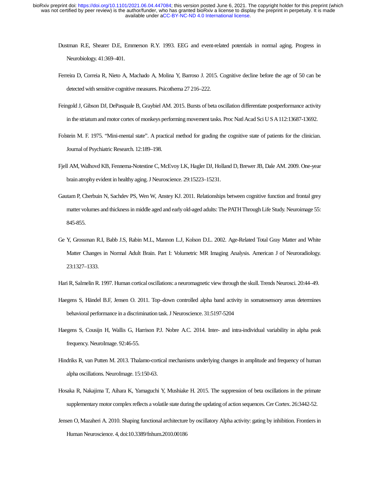- Dustman R.E, Shearer D.E, Emmerson R.Y. 1993. EEG and event-related potentials in normal aging. Progress in Neurobiology. 41:369–401.
- Ferreira D, Correia R, Nieto A, Machado A, Molina Y, Barroso J. 2015. Cognitive decline before the age of 50 can be detected with sensitive cognitive measures. Psicothema 27 216–222.
- Feingold J, Gibson DJ, DePasquale B, Graybiel AM. 2015. Bursts of beta oscillation differentiate postperformance activity in the striatum and motor cortex of monkeys performing movement tasks. Proc Natl Acad Sci U S A 112:13687-13692.
- Folstein M. F. 1975. "Mini-mental state". A practical method for grading the cognitive state of patients for the clinician. Journal of Psychiatric Research. 12:189–198.
- Fjell AM, Walhovd KB, Fennema-Notestine C, McEvoy LK, Hagler DJ, Holland D, Brewer JB, Dale AM. 2009. One-year brain atrophy evident in healthy aging. J Neuroscience. 29:15223–15231.
- Gautam P, Cherbuin N, Sachdev PS, Wen W, Anstey KJ. 2011. Relationships between cognitive function and frontal grey matter volumes and thickness in middle aged and early old-aged adults: The PATH Through Life Study. Neuroimage 55: 845-855.
- Ge Y, Grossman R.I, Babb J.S, Rabin M.L, Mannon L.J, Kolson D.L. 2002. Age-Related Total Gray Matter and White Matter Changes in Normal Adult Brain. Part I: Volumetric MR Imaging Analysis. American J of Neuroradiology. 23:1327–1333.
- Hari R, Salmelin R. 1997. Human cortical oscillations: a neuromagnetic view through the skull. Trends Neurosci. 20:44–49.
- Haegens S, Händel B.F, Jensen O. 2011. Top–down controlled alpha band activity in somatosensory areas determines behavioral performance in a discrimination task. J Neuroscience. 31:5197-5204
- Haegens S, Cousijn H, Wallis G, Harrison P.J. Nobre A.C. 2014. Inter- and intra-individual variability in alpha peak frequency. NeuroImage. 92:46-55.
- Hindriks R, van Putten M. 2013. Thalamo-cortical mechanisms underlying changes in amplitude and frequency of human alpha oscillations. NeuroImage. 15:150-63.
- Hosaka R, Nakajima T, Aihara K, Yamaguchi Y, Mushiake H. 2015. The suppression of beta oscillations in the primate supplementary motor complex reflects a volatile state during the updating of action sequences. Cer Cortex. 26:3442-52.
- Jensen O, Mazaheri A. 2010. Shaping functional architecture by oscillatory Alpha activity: gating by inhibition. Frontiers in Human Neuroscience. 4, doi:10.3389/fnhum.2010.00186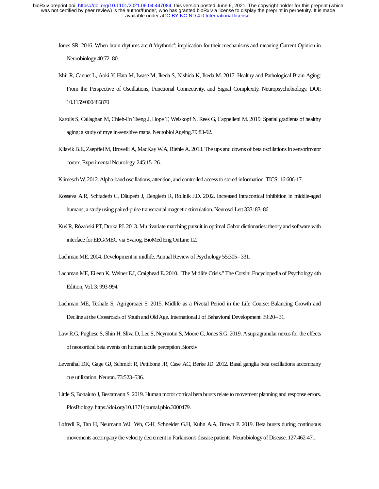- Jones SR. 2016. When brain rhythms aren't 'rhythmic': implication for their mechanisms and meaning Current Opinion in Neurobiology 40:72–80.
- Ishii R, Canuet L, Aoki Y, Hata M, Iwase M, Ikeda S, Nishida K, Ikeda M. 2017. Healthy and Pathological Brain Aging: From the Perspective of Oscillations, Functional Connectivity, and Signal Complexity. Neuropsychobiology. DOI: 10.1159/000486870
- Karolis S, Callaghan M, Chieh-En Tseng J, Hope T, Weiskopf N, Rees G, Cappelletti M. 2019. Spatial gradients of healthy aging: a study of myelin-sensitive maps. Neurobiol Ageing.79:83-92.
- Kilavik B.E, Zaepffel M, Brovelli A, MacKay W.A, Riehle A. 2013. The ups and downs of beta oscillations in sensorimotor cortex. Experimental Neurology. 245:15–26.
- Klimesch W. 2012. Alpha-band oscillations, attention, and controlled access to stored information. TICS. 16:606-17.
- Kosseva A.R, Schraderb C, Däuperb J, Denglerb R, Rollnik J.D. 2002. Increased intracortical inhibition in middle-aged humans; a study using paired-pulse transcranial magnetic stimulation. Neurosci Lett 333: 83–86.
- Kuś R, Różański PT, Durka PJ. 2013. Multivariate matching pursuit in optimal Gabor dictionaries: theory and software with interface for EEG/MEG via Svarog. BioMed Eng OnLine 12.
- Lachman ME. 2004. Development in midlife. Annual Review of Psychology 55:305– 331.
- Lachman ME, Eileen K, Weiner E.I, Craighead E. 2010. "The Midlife Crisis." The Corsini Encyclopedia of Psychology 4th Edition, Vol. 3: 993-994.
- Lachman ME, Teshale S, Agrigoroaei S. 2015. Midlife as a Pivotal Period in the Life Course: Balancing Growth and Decline at the Crossroads of Youth and Old Age. International J of Behavioral Development. 39:20– 31.
- Law R.G, Pugliese S, Shin H, Sliva D, Lee S, Neymotin S, Moore C, Jones S.G. 2019. A supragranular nexus for the effects of neocortical beta events on human tactile perception Biorxiv
- Leventhal DK, Gage GJ, Schmidt R, Pettibone JR, Case AC, Berke JD. 2012. Basal ganglia beta oscillations accompany cue utilization. Neuron. 73:523–536.
- Little S, Bonaiuto J, Bestamann S. 2019. Human motor cortical beta bursts relate to movement planning and response errors. PlosBiology. https://doi.org/10.1371/journal.pbio.3000479.
- Lofredi R, Tan H, Neumann WJ, Yeh, C-H, Schneider G.H, Kühn A.A, Brown P. 2019. Beta bursts during continuous movements accompany the velocity decrement in Parkinson's disease patients. Neurobiology of Disease. 127:462-471.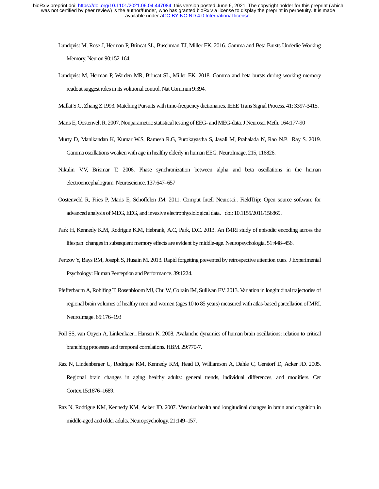- Lundqvist M, Rose J, Herman P, Brincat SL, Buschman TJ, Miller EK. 2016. Gamma and Beta Bursts Underlie Working Memory. Neuron 90:152-164.
- Lundqvist M, Herman P, Warden MR, Brincat SL, Miller EK. 2018. Gamma and beta bursts during working memory readout suggest roles in its volitional control. Nat Commun 9:394.
- Mallat S.G, Zhang Z.1993. Matching Pursuits with time-frequency dictionaries. IEEE Trans Signal Process. 41: 3397-3415.
- Maris E, Oostenvelt R. 2007. Nonparametric statistical testing of EEG- and MEG-data. J Neurosci Meth. 164:177-90
- Murty D, Manikandan K, Kumar W.S, Ramesh R.G, Purokayastha S, Javali M, Prahalada N, Rao N.P. Ray S. 2019. Gamma oscillations weaken with age in healthy elderly in human EEG. NeuroImage. 215, 116826.
- Nikulin V.V, Brismar T. 2006. Phase synchronization between alpha and beta oscillations in the human electroencephalogram. Neuroscience. 137:647–657
- Oostenveld R, Fries P, Maris E, Schoffelen JM. 2011. Comput Intell Neurosci.. FieldTrip: Open source software for advanced analysis of MEG, EEG, and invasive electrophysiological data. doi: 10.1155/2011/156869.
- Park H, Kennedy K.M, Rodrigue K.M, Hebrank, A.C, Park, D.C. 2013. An fMRI study of episodic encoding across the lifespan: changes in subsequent memory effects are evident by middle-age. Neuropsychologia. 51:448–456.
- Pertzov Y, Bays P.M, Joseph S, Husain M. 2013. Rapid forgetting prevented by retrospective attention cues. J Experimental Psychology: Human Perception and Performance. 39:1224.
- Pfefferbaum A, Rohlfing T, Rosenbloom MJ, Chu W, Colrain IM, Sullivan EV. 2013. Variation in longitudinal trajectories of regional brain volumes of healthy men and women (ages 10 to 85 years) measured with atlas-based parcellation of MRI. NeuroImage. 65:176–193
- Poil SS, van Ooyen A, Linkenkaer<sup>-</sup>Hansen K. 2008. Avalanche dynamics of human brain oscillations: relation to critical branching processes and temporal correlations. HBM. 29:770-7.
- Raz N, Lindenberger U, Rodrigue KM, Kennedy KM, Head D, Williamson A, Dahle C, Gerstorf D, Acker JD. 2005. Regional brain changes in aging healthy adults: general trends, individual differences, and modifiers. Cer Cortex.15:1676–1689.
- Raz N, Rodrigue KM, Kennedy KM, Acker JD. 2007. Vascular health and longitudinal changes in brain and cognition in middle-aged and older adults. Neuropsychology. 21:149–157.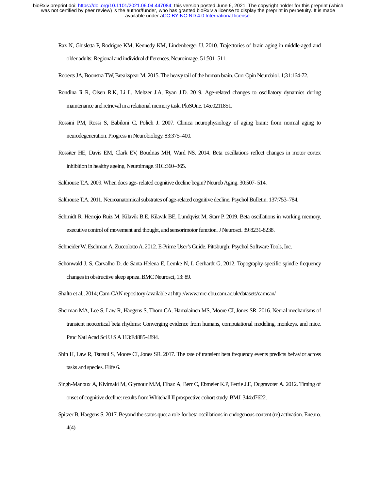- Raz N, Ghisletta P, Rodrigue KM, Kennedy KM, Lindenberger U. 2010. Trajectories of brain aging in middle-aged and older adults: Regional and individual differences. Neuroimage. 51:501–511.
- Roberts JA, Boonstra TW, Breakspear M. 2015. The heavy tail of the human brain. Curr Opin Neurobiol. 1;31:164-72.
- Rondina Ii R, Olsen R.K, Li L, Meltzer J.A, Ryan J.D. 2019. Age-related changes to oscillatory dynamics during maintenance and retrieval in a relational memory task. PloSOne. 14:e0211851.
- Rossini PM, Rossi S, Babiloni C, Polich J. 2007. Clinica neurophysiology of aging brain: from normal aging to neurodegeneration. Progress in Neurobiology. 83:375–400.
- Rossiter HE, Davis EM, Clark EV, Boudrias MH, Ward NS. 2014. Beta oscillations reflect changes in motor cortex inhibition in healthy ageing. Neuroimage. 91C:360–365.
- Salthouse T.A. 2009. When does age- related cognitive decline begin? Neurob Aging. 30:507- 514.
- Salthouse T.A. 2011. Neuroanatomical substrates of age-related cognitive decline. Psychol Bulletin. 137:753–784.
- Schmidt R. Herrojo Ruiz M, Kilavik B.E. Kilavik BE, Lundqvist M, Starr P. 2019. Beta oscillations in working memory, executive control of movement and thought, and sensorimotor function. J Neurosci. 39:8231-8238.
- Schneider W, Eschman A, Zuccolotto A. 2012. E-Prime User's Guide. Pittsburgh: Psychol Software Tools, Inc.
- Schönwald J. S, Carvalho D, de Santa-Helena E, Lemke N, L Gerhardt G, 2012. Topography-specific spindle frequency changes in obstructive sleep apnea. BMC Neurosci, 13: 89.
- Shafto et al., 2014; Cam-CAN repository (available at http://www.mrc-cbu.cam.ac.uk/datasets/camcan/
- Sherman MA, Lee S, Law R, Haegens S, Thorn CA, Hamalainen MS, Moore CI, Jones SR. 2016. Neural mechanisms of transient neocortical beta rhythms: Converging evidence from humans, computational modeling, monkeys, and mice. Proc Natl Acad Sci U S A 113:E4885-4894.
- Shin H, Law R, Tsutsui S, Moore CI, Jones SR. 2017. The rate of transient beta frequency events predicts behavior across tasks and species. Elife 6.
- Singh-Manoux A, Kivimaki M, Glymour M.M, Elbaz A, Berr C, Ebmeier K.P, Ferrie J.E, Dugravotet A. 2012. Timing of onset of cognitive decline: results from Whitehall II prospective cohort study. BMJ. 344:d7622.
- Spitzer B, Haegens S. 2017. Beyond the status quo: a role for beta oscillations in endogenous content (re) activation. Eneuro. 4(4).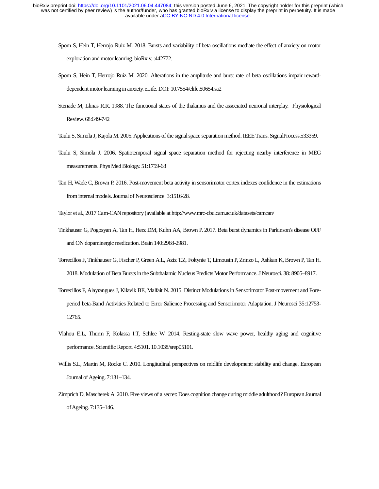- Sporn S, Hein T, Herrojo Ruiz M. 2018. Bursts and variability of beta oscillations mediate the effect of anxiety on motor exploration and motor learning. bioRxiv, :442772.
- Sporn S, Hein T, Herrojo Ruiz M. 2020. Alterations in the amplitude and burst rate of beta oscillations impair rewarddependent motor learning in anxiety. eLife. DOI: 10.7554/elife.50654.sa2
- Steriade M, Llinas R.R. 1988. The functional states of the thalamus and the associated neuronal interplay. Physiological Review. 68:649-742
- Taulu S, Simola J, Kajola M. 2005. Applications of the signal space separation method. IEEE Trans. SignalProcess.533359.
- Taulu S, Simola J. 2006. Spatiotemporal signal space separation method for rejecting nearby interference in MEG measurements. Phys Med Biology. 51:1759-68
- Tan H, Wade C, Brown P. 2016. Post-movement beta activity in sensorimotor cortex indexes confidence in the estimations from internal models. Journal of Neuroscience. 3:1516-28.
- Taylor et al., 2017 Cam-CAN repository (available at http://www.mrc-cbu.cam.ac.uk/datasets/camcan/
- Tinkhauser G, Pogosyan A, Tan H, Herz DM, Kuhn AA, Brown P. 2017. Beta burst dynamics in Parkinson's disease OFF and ON dopaminergic medication. Brain 140:2968-2981.
- Torrecillos F, Tinkhauser G, Fischer P, Green A.L, Aziz T.Z, Foltynie T, Limousin P, Zrinzo L, Ashkan K, Brown P, Tan H. 2018. Modulation of Beta Bursts in the Subthalamic Nucleus Predicts Motor Performance. J Neurosci. 38: 8905–8917.
- Torrecillos F, Alayrangues J, Kilavik BE, Malfait N. 2015. Distinct Modulations in Sensorimotor Post-movement and Foreperiod beta-Band Activities Related to Error Salience Processing and Sensorimotor Adaptation. J Neurosci 35:12753- 12765.
- Vlahou E.L, Thurm F, Kolassa I.T, Schlee W. 2014. Resting-state slow wave power, healthy aging and cognitive performance. Scientific Report. 4:5101. 10.1038/srep05101.
- Willis S.L, Martin M, Rocke C. 2010. Longitudinal perspectives on midlife development: stability and change. European Journal of Ageing. 7:131–134.
- Zimprich D, Mascherek A. 2010. Five views of a secret: Does cognition change during middle adulthood? European Journal of Ageing. 7:135–146.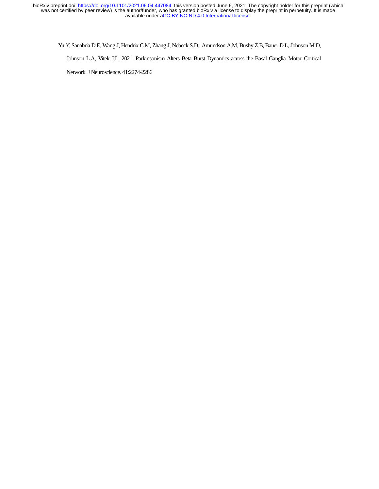Yu Y, Sanabria D.E, Wang J, Hendrix C.M, Zhang J, Nebeck S.D., Amundson A.M, Busby Z.B, Bauer D.L, Johnson M.D,

Johnson L.A, Vitek J.L. 2021. Parkinsonism Alters Beta Burst Dynamics across the Basal Ganglia–Motor Cortical

Network. J Neuroscience. 41:2274-2286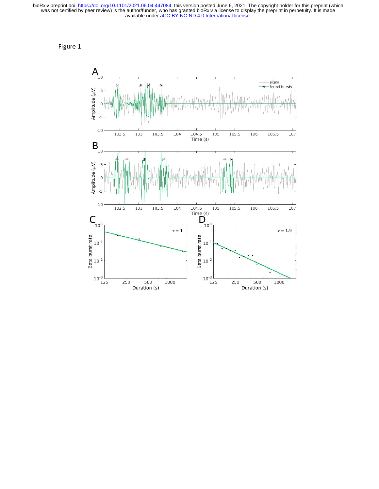Figure 1

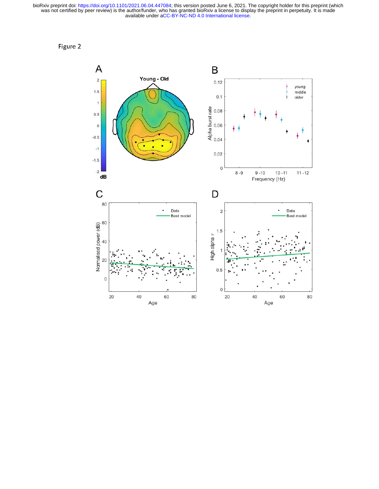Figure 2

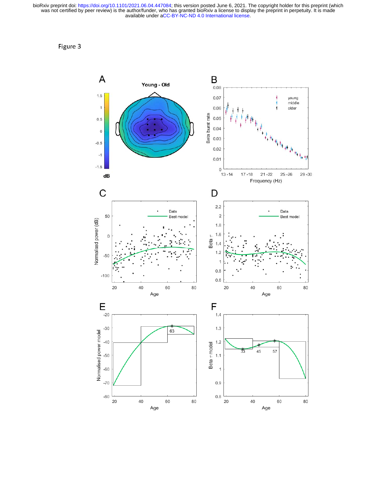Figure 3

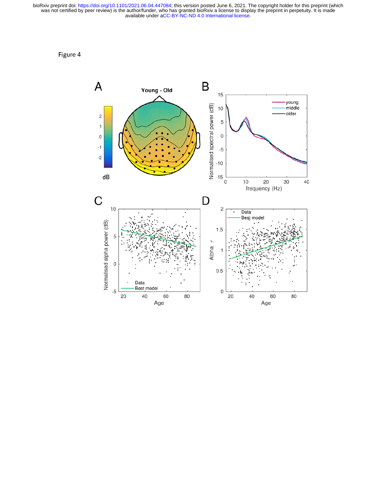Figure 4